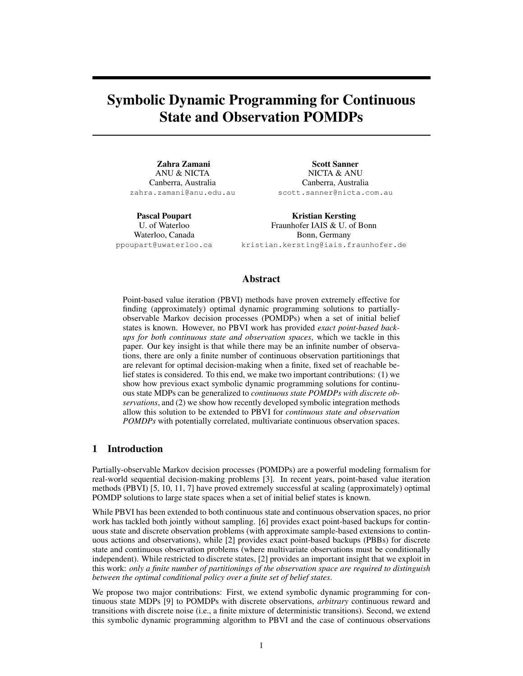# Symbolic Dynamic Programming for Continuous State and Observation POMDPs

Zahra Zamani ANU & NICTA Canberra, Australia zahra.zamani@anu.edu.au

Scott Sanner NICTA & ANU Canberra, Australia scott.sanner@nicta.com.au

Pascal Poupart U. of Waterloo Waterloo, Canada ppoupart@uwaterloo.ca

Kristian Kersting Fraunhofer IAIS & U. of Bonn Bonn, Germany kristian.kersting@iais.fraunhofer.de

## Abstract

Point-based value iteration (PBVI) methods have proven extremely effective for finding (approximately) optimal dynamic programming solutions to partiallyobservable Markov decision processes (POMDPs) when a set of initial belief states is known. However, no PBVI work has provided *exact point-based backups for both continuous state and observation spaces*, which we tackle in this paper. Our key insight is that while there may be an infinite number of observations, there are only a finite number of continuous observation partitionings that are relevant for optimal decision-making when a finite, fixed set of reachable belief states is considered. To this end, we make two important contributions: (1) we show how previous exact symbolic dynamic programming solutions for continuous state MDPs can be generalized to *continuous state POMDPs with discrete observations*, and (2) we show how recently developed symbolic integration methods allow this solution to be extended to PBVI for *continuous state and observation POMDPs* with potentially correlated, multivariate continuous observation spaces.

## 1 Introduction

Partially-observable Markov decision processes (POMDPs) are a powerful modeling formalism for real-world sequential decision-making problems [3]. In recent years, point-based value iteration methods (PBVI) [5, 10, 11, 7] have proved extremely successful at scaling (approximately) optimal POMDP solutions to large state spaces when a set of initial belief states is known.

While PBVI has been extended to both continuous state and continuous observation spaces, no prior work has tackled both jointly without sampling. [6] provides exact point-based backups for continuous state and discrete observation problems (with approximate sample-based extensions to continuous actions and observations), while [2] provides exact point-based backups (PBBs) for discrete state and continuous observation problems (where multivariate observations must be conditionally independent). While restricted to discrete states, [2] provides an important insight that we exploit in this work: *only a finite number of partitionings of the observation space are required to distinguish between the optimal conditional policy over a finite set of belief states*.

We propose two major contributions: First, we extend symbolic dynamic programming for continuous state MDPs [9] to POMDPs with discrete observations, *arbitrary* continuous reward and transitions with discrete noise (i.e., a finite mixture of deterministic transitions). Second, we extend this symbolic dynamic programming algorithm to PBVI and the case of continuous observations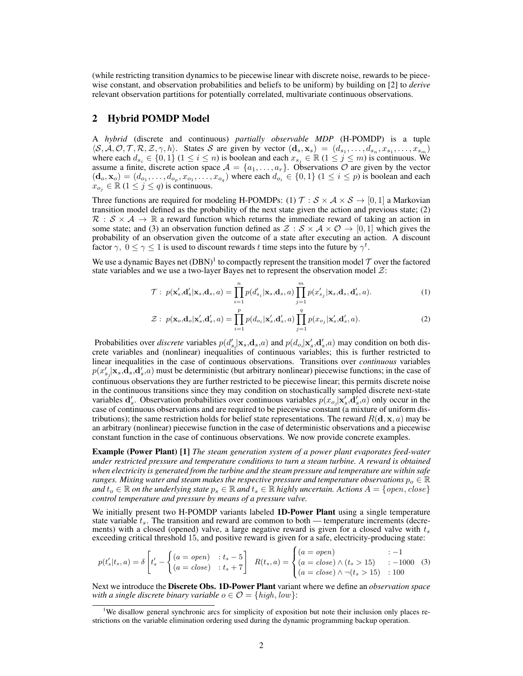(while restricting transition dynamics to be piecewise linear with discrete noise, rewards to be piecewise constant, and observation probabilities and beliefs to be uniform) by building on [2] to *derive* relevant observation partitions for potentially correlated, multivariate continuous observations.

## 2 Hybrid POMDP Model

A *hybrid* (discrete and continuous) *partially observable MDP* (H-POMDP) is a tuple  $\langle \mathcal{S}, \mathcal{A}, \mathcal{O}, \mathcal{T}, \mathcal{R}, \mathcal{Z}, \gamma, h \rangle$ . States S are given by vector  $(\mathbf{d}_s, \mathbf{x}_s) = (d_{s_1}, \dots, d_{s_n}, x_{s_1}, \dots, x_{s_m})$ where each  $d_{s_i} \in \{0,1\}$  ( $1 \leq i \leq n$ ) is boolean and each  $x_{s_j} \in \mathbb{R}$  ( $1 \leq j \leq m$ ) is continuous. We assume a finite, discrete action space  $A = \{a_1, \ldots, a_r\}$ . Observations  $O$  are given by the vector  $(d_o, x_o) = (d_{o_1}, \ldots, d_{o_p}, x_{o_1}, \ldots, x_{o_q})$  where each  $d_{o_i} \in \{0, 1\}$   $(1 \le i \le p)$  is boolean and each  $x_{o_j} \in \mathbb{R}$   $(1 \leq j \leq q)$  is continuous.

Three functions are required for modeling H-POMDPs: (1)  $\mathcal{T}: \mathcal{S} \times \mathcal{A} \times \mathcal{S} \rightarrow [0, 1]$  a Markovian transition model defined as the probability of the next state given the action and previous state; (2)  $\mathcal{R}: \mathcal{S} \times \mathcal{A} \to \mathbb{R}$  a reward function which returns the immediate reward of taking an action in some state; and (3) an observation function defined as  $\mathcal{Z}: \mathcal{S} \times \mathcal{A} \times \mathcal{O} \rightarrow [0, 1]$  which gives the probability of an observation given the outcome of a state after executing an action. A discount factor  $\gamma$ ,  $0 \le \gamma \le 1$  is used to discount rewards t time steps into the future by  $\gamma^t$ .

We use a dynamic Bayes net (DBN)<sup>1</sup> to compactly represent the transition model  $T$  over the factored state variables and we use a two-layer Bayes net to represent the observation model  $\mathcal{Z}$ :

$$
\mathcal{T}: p(\mathbf{x}'_s, \mathbf{d}'_s | \mathbf{x}_s, \mathbf{d}_s, a) = \prod_{i=1}^n p(d'_{s_i} | \mathbf{x}_s, \mathbf{d}_s, a) \prod_{j=1}^m p(x'_{s_j} | \mathbf{x}_s, \mathbf{d}_s, \mathbf{d}'_s, a).
$$
\n(1)

$$
\mathcal{Z}: p(\mathbf{x}_o, \mathbf{d}_o | \mathbf{x}'_s, \mathbf{d}'_s, a) = \prod_{i=1}^p p(d_{o_i} | \mathbf{x}'_s, \mathbf{d}'_s, a) \prod_{j=1}^q p(x_{o_j} | \mathbf{x}'_s, \mathbf{d}'_s, a).
$$
 (2)

Probabilities over *discrete* variables  $p(d'_{s_i}|\mathbf{x}_s, \mathbf{d}_s, a)$  and  $p(d_{o_i}|\mathbf{x}'_s, \mathbf{d}'_s, a)$  may condition on both discrete variables and (nonlinear) inequalities of continuous variables; this is further restricted to linear inequalities in the case of continuous observations. Transitions over *continuous* variables  $p(x'_{s_j}|\mathbf{x}_s, \mathbf{d}_s, \mathbf{d}'_s, a)$  must be deterministic (but arbitrary nonlinear) piecewise functions; in the case of continuous observations they are further restricted to be piecewise linear; this permits discrete noise in the continuous transitions since they may condition on stochastically sampled discrete next-state variables  $d'_s$ . Observation probabilities over continuous variables  $p(x_{o_j}|x'_s, d'_s, a)$  only occur in the case of continuous observations and are required to be piecewise constant (a mixture of uniform distributions); the same restriction holds for belief state representations. The reward  $R(d, x, a)$  may be an arbitrary (nonlinear) piecewise function in the case of deterministic observations and a piecewise constant function in the case of continuous observations. We now provide concrete examples.

Example (Power Plant) [1] *The steam generation system of a power plant evaporates feed-water under restricted pressure and temperature conditions to turn a steam turbine. A reward is obtained when electricity is generated from the turbine and the steam pressure and temperature are within safe ranges. Mixing water and steam makes the respective pressure and temperature observations*  $p_0 \in \mathbb{R}$ *and*  $t_o \in \mathbb{R}$  *on the underlying state*  $p_s \in \mathbb{R}$  *and*  $t_s \in \mathbb{R}$  *highly uncertain. Actions*  $A = \{open, close\}$ *control temperature and pressure by means of a pressure valve.*

We initially present two H-POMDP variants labeled **1D-Power Plant** using a single temperature state variable  $t_s$ . The transition and reward are common to both — temperature increments (decrements) with a closed (opened) valve, a large negative reward is given for a closed valve with  $t_s$ exceeding critical threshold 15, and positive reward is given for a safe, electricity-producing state:

$$
p(t'_{s}|t_{s}, a) = \delta \left[ t'_{s} - \begin{cases} (a = open) & : t_{s} - 5 \\ (a = close) & : t_{s} + 7 \end{cases} \right] \quad R(t_{s}, a) = \begin{cases} (a = open) & : -1 \\ (a = close) \land (t_{s} > 15) & : -1000 \\ (a = close) \land \neg(t_{s} > 15) & : 100 \end{cases} \tag{3}
$$

Next we introduce the Discrete Obs. 1D-Power Plant variant where we define an *observation space with a single discrete binary variable*  $o \in \mathcal{O} = \{high, low\}$ :

<sup>&</sup>lt;sup>1</sup>We disallow general synchronic arcs for simplicity of exposition but note their inclusion only places restrictions on the variable elimination ordering used during the dynamic programming backup operation.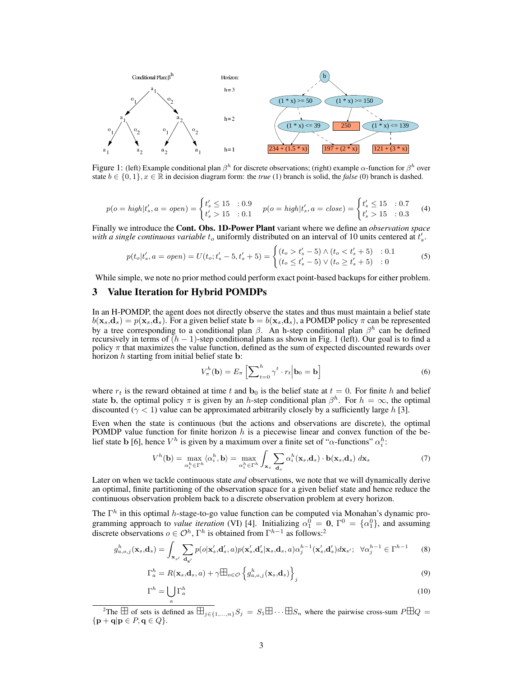

Figure 1: (left) Example conditional plan  $\beta^h$  for discrete observations; (right) example  $\alpha$ -function for  $\beta^h$  over state  $b \in \{0, 1\}$ ,  $x \in \mathbb{R}$  in decision diagram form: the *true* (1) branch is solid, the *false* (0) branch is dashed.

$$
p(o = high | t'_s, a = open) = \begin{cases} t'_s \le 15 & : 0.9 \\ t'_s > 15 & : 0.1 \end{cases} \quad p(o = high | t'_s, a = close) = \begin{cases} t'_s \le 15 & : 0.7 \\ t'_s > 15 & : 0.3 \end{cases} \tag{4}
$$

Finally we introduce the Cont. Obs. 1D-Power Plant variant where we define an *observation space* with a single continuous variable  $t_o$  uniformly distributed on an interval of 10 units centered at  $t'_s$ .

$$
p(t_o|t'_s, a = open) = U(t_o; t'_s - 5, t'_s + 5) = \begin{cases} (t_o > t'_s - 5) \land (t_o < t'_s + 5) & : 0.1\\ (t_o \le t'_s - 5) \lor (t_o \ge t'_s + 5) & : 0 \end{cases}
$$
(5)

While simple, we note no prior method could perform exact point-based backups for either problem.

## 3 Value Iteration for Hybrid POMDPs

In an H-POMDP, the agent does not directly observe the states and thus must maintain a belief state  $b(\mathbf{x}_s, \mathbf{d}_s) = p(\mathbf{x}_s, \mathbf{d}_s)$ . For a given belief state  $\mathbf{b} = b(\mathbf{x}_s, \mathbf{d}_s)$ , a POMDP policy  $\pi$  can be represented by a tree corresponding to a conditional plan  $\beta$ . An h-step conditional plan  $\beta^h$  can be defined recursively in terms of  $(h - 1)$ -step conditional plans as shown in Fig. 1 (left). Our goal is to find a policy  $\pi$  that maximizes the value function, defined as the sum of expected discounted rewards over horizon  $h$  starting from initial belief state  $\mathbf{b}$ :

$$
V_{\pi}^{h}(\mathbf{b}) = E_{\pi} \left[ \sum_{t=0}^{h} \gamma^{t} \cdot r_{t} \middle| \mathbf{b}_{0} = \mathbf{b} \right]
$$
 (6)

where  $r_t$  is the reward obtained at time t and  $\mathbf{b}_0$  is the belief state at  $t = 0$ . For finite h and belief state b, the optimal policy  $\pi$  is given by an h-step conditional plan  $\beta^h$ . For  $h = \infty$ , the optimal discounted ( $\gamma$  < 1) value can be approximated arbitrarily closely by a sufficiently large h [3].

Even when the state is continuous (but the actions and observations are discrete), the optimal POMDP value function for finite horizon  $h$  is a piecewise linear and convex function of the belief state b [6], hence  $V^h$  is given by a maximum over a finite set of " $\alpha$ -functions"  $\alpha_i^h$ :

$$
V^{h}(\mathbf{b}) = \max_{\alpha_{i}^{h} \in \Gamma^{h}} \langle \alpha_{i}^{h}, \mathbf{b} \rangle = \max_{\alpha_{i}^{h} \in \Gamma^{h}} \int_{\mathbf{x}_{s}} \sum_{\mathbf{d}_{s}} \alpha_{i}^{h}(\mathbf{x}_{s}, \mathbf{d}_{s}) \cdot \mathbf{b}(\mathbf{x}_{s}, \mathbf{d}_{s}) d\mathbf{x}_{s}
$$
(7)

Later on when we tackle continuous state *and* observations, we note that we will dynamically derive an optimal, finite partitioning of the observation space for a given belief state and hence reduce the continuous observation problem back to a discrete observation problem at every horizon.

The  $\Gamma^h$  in this optimal h-stage-to-go value function can be computed via Monahan's dynamic programming approach to *value iteration* (VI) [4]. Initializing  $\alpha_1^0 = \mathbf{0}, \Gamma^0 = {\alpha_1^0}$ , and assuming discrete observations  $o \in \mathcal{O}^h$ ,  $\Gamma^h$  is obtained from  $\Gamma^{h-1}$  as follows:<sup>2</sup>

$$
g_{a,o,j}^{h}(\mathbf{x}_{s},\mathbf{d}_{s})=\int_{\mathbf{x}_{s'}}\sum_{\mathbf{d}_{s'}}p(o|\mathbf{x}'_{s},\mathbf{d}'_{s},a)p(\mathbf{x}'_{s},\mathbf{d}'_{s}|\mathbf{x}_{s},\mathbf{d}_{s},a)\alpha_{j}^{h-1}(\mathbf{x}'_{s},\mathbf{d}'_{s})d\mathbf{x}_{s'};\quad\forall\alpha_{j}^{h-1}\in\Gamma^{h-1}
$$
(8)

$$
\Gamma_a^h = R(\mathbf{x}_s, \mathbf{d}_s, a) + \gamma \mathbb{H}_{o \in \mathcal{O}} \left\{ g_{a, o, j}^h(\mathbf{x}_s, \mathbf{d}_s) \right\}_j
$$
\n(9)

$$
\Gamma^h = \bigcup_a \Gamma^h_a \tag{10}
$$

<sup>&</sup>lt;sup>2</sup>The  $\overline{\boxplus}$  of sets is defined as  $\overline{\boxplus}_{j\in\{1,\ldots,n\}}S_j = S_1\overline{\boxplus}\cdots\overline{\boxplus}S_n$  where the pairwise cross-sum  $P\overline{\boxplus}Q =$  $\{ \mathbf{p} + \mathbf{q} | \mathbf{p} \in P, \mathbf{q} \in Q \}.$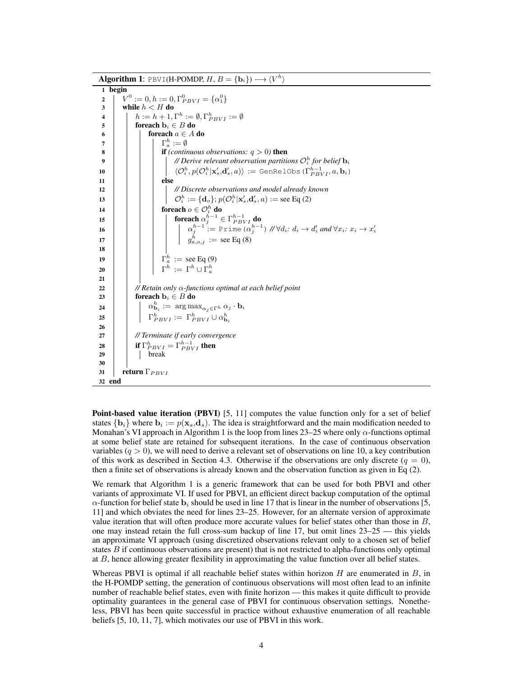Algorithm 1: PBVI(H-POMDP,  $H, B = \{b_i\} \rightarrow \langle V^h \rangle$ 1 begin  $V^0$ 2  $\mid V^0 := 0, h := 0, \Gamma_{PBVI}^0 = {\alpha_1^0}$  $3$  while  $h < H$  do  $\begin{array}{ll} \mathbf{A} & | & | & h := h+1, \Gamma^h := \emptyset, \Gamma^h_{PBVI} := \emptyset \end{array}$ 5 **for each**  $\mathbf{b}_i \in B$  do 6 | | | foreach  $a \in A$  do  $\begin{array}{ccc} \texttt{7} & | & | & | & \Gamma_a^h := \emptyset \end{array}$ 8  $\vert$  **if** *(continuous observations:*  $q > 0$ *)* then 9  $\vert$   $\vert$   $\vert$   $\vert$   $\vert$  *// Derive relevant observation partitions*  $\mathcal{O}_i^h$  *for belief*  $\mathbf{b}_i$  $\mathbf{h}(0\ \Big|\ \ \Big|\ \ \Big|\ \ \Big|\ \ \langle \mathcal{O}_i^h, p(\mathcal{O}_i^h | \mathbf{x}'_s, \mathbf{d}'_s, a) \rangle \ := \texttt{GenRelObs}\,(\Gamma_{PBVI}^{h-1}, a, \mathbf{b}_i)$  $11$   $\vert$   $\vert$   $\vert$   $\vert$  else 12 *// Discrete observations and model already known*  $\mathbf{0} \hspace{.2cm} | \hspace{.2cm} \bigcup \hspace{.2cm} \mathcal{O}_i^h := \{\mathbf{d}_o\}; p(\mathcal{O}_i^h|\mathbf{x}'_s,\mathbf{d}'_s,a) := \mathrm{see}~\mathrm{Eq}~(2)$ 14  $\parallel$   $\parallel$   $\parallel$  foreach  $o \in \mathcal{O}_i^h$  do 15  $\begin{array}{|c|c|c|}\hline \end{array}$   $\qquad$  foreach  $\alpha_j^{h-1}\in \Gamma_{PBVI}^{h-1}$  do  $\begin{array}{|c|c|c|c|c|}\hline \rule{0pt}{16pt}\rule{0pt}{12pt}\quad & \quad & \alpha_j^{h-1}:=\texttt{Prime}\,(\alpha_j^{h-1}) \,\,\text{//}\forall d_i{:}\; d_i\to d_i' \textit{ and } \forall x_i{:}\; x_i\to x_i' \hline \end{array}$ 17  $\vert$   $\vert$   $\vert$   $\vert$   $\vert$   $\vert$   $\vert$   $g_{a,o,j}^{h}$  := see Eq (8) 18 Γ h 19 <sup>a</sup> := see Eq (9) Γ h := Γ<sup>h</sup> ∪ Γ h 20 a 21 22 *// Retain only* α*-functions optimal at each belief point* 23 **for each**  $\mathbf{b}_i \in B$  do  $\begin{array}{ccc} \mathbf{p} & \begin{array}{|c} \hline \end{array} & \mathbf{p} \end{array} & \begin{array}{|c} \hline \mathbf{p}^h \end{array} & \begin{array}{|c} \hline \mathbf{p}^h \end{array} & \begin{array}{|c} \hline \mathbf{p}^h \end{array} & \begin{array}{|c} \hline \mathbf{p}^h \end{array} & \begin{array}{|c} \hline \mathbf{p}^h \end{array} & \begin{array}{|c} \hline \mathbf{p}^h \end{array} & \begin{array}{|c} \hline \mathbf{p}^h \end{array} & \begin$  $\Gamma_{PBVI}^h := \Gamma_{PBVI}^h \cup \alpha_{\mathbf{b}_i}^h$ 25 26 27 *// Terminate if early convergence* 28 **if**  $\Gamma_{PBVI}^h = \Gamma_{PBVI}^{h-1}$  then  $29$  | | break 30 31 **return**  $\Gamma_{PBVI}$ 32 end

Point-based value iteration (PBVI) [5, 11] computes the value function only for a set of belief states  $\{b_i\}$  where  $b_i := p(\mathbf{x}_s, \mathbf{d}_s)$ . The idea is straightforward and the main modification needed to Monahan's VI approach in Algorithm 1 is the loop from lines  $23-25$  where only  $\alpha$ -functions optimal at some belief state are retained for subsequent iterations. In the case of continuous observation variables  $(q > 0)$ , we will need to derive a relevant set of observations on line 10, a key contribution of this work as described in Section 4.3. Otherwise if the observations are only discrete  $(q = 0)$ , then a finite set of observations is already known and the observation function as given in Eq (2).

We remark that Algorithm 1 is a generic framework that can be used for both PBVI and other variants of approximate VI. If used for PBVI, an efficient direct backup computation of the optimal  $\alpha$ -function for belief state  $\mathbf{b}_i$  should be used in line 17 that is linear in the number of observations [5, 11] and which obviates the need for lines 23–25. However, for an alternate version of approximate value iteration that will often produce more accurate values for belief states other than those in B, one may instead retain the full cross-sum backup of line 17, but omit lines 23–25 — this yields an approximate VI approach (using discretized observations relevant only to a chosen set of belief states B if continuous observations are present) that is not restricted to alpha-functions only optimal at  $B$ , hence allowing greater flexibility in approximating the value function over all belief states.

Whereas PBVI is optimal if all reachable belief states within horizon  $H$  are enumerated in  $B$ , in the H-POMDP setting, the generation of continuous observations will most often lead to an infinite number of reachable belief states, even with finite horizon — this makes it quite difficult to provide optimality guarantees in the general case of PBVI for continuous observation settings. Nonetheless, PBVI has been quite successful in practice without exhaustive enumeration of all reachable beliefs [5, 10, 11, 7], which motivates our use of PBVI in this work.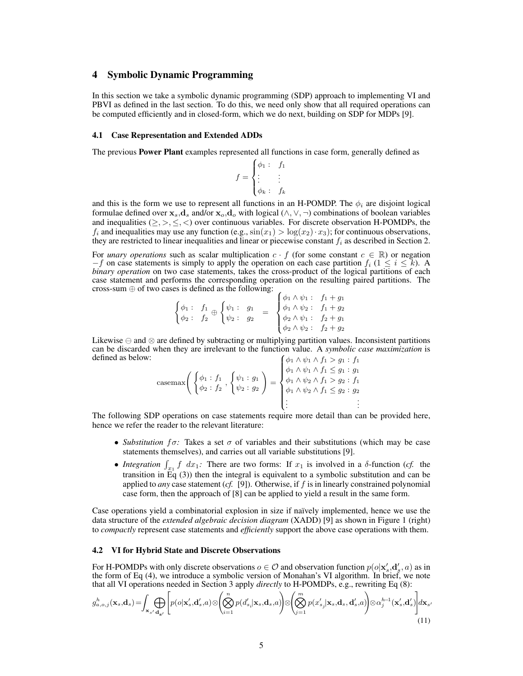## 4 Symbolic Dynamic Programming

In this section we take a symbolic dynamic programming (SDP) approach to implementing VI and PBVI as defined in the last section. To do this, we need only show that all required operations can be computed efficiently and in closed-form, which we do next, building on SDP for MDPs [9].

### 4.1 Case Representation and Extended ADDs

The previous Power Plant examples represented all functions in case form, generally defined as

$$
f = \begin{cases} \phi_1: & f_1 \\ \vdots & \vdots \\ \phi_k: & f_k \end{cases}
$$

and this is the form we use to represent all functions in an H-POMDP. The  $\phi_i$  are disjoint logical formulae defined over  $x_s, d_s$  and/or  $x_o, d_o$  with logical  $(\wedge, \vee, \neg)$  combinations of boolean variables and inequalities ( $\geq, \geq, \leq, \leq$ ) over continuous variables. For discrete observation H-POMDPs, the  $f_i$  and inequalities may use any function (e.g.,  $\sin(x_1) > \log(x_2) \cdot x_3$ ); for continuous observations, they are restricted to linear inequalities and linear or piecewise constant  $f_i$  as described in Section 2.

For *unary operations* such as scalar multiplication  $c \cdot f$  (for some constant  $c \in \mathbb{R}$ ) or negation  $-f$  on case statements is simply to apply the operation on each case partition  $f_i$  (1  $\leq i \leq k$ ). A *binary operation* on two case statements, takes the cross-product of the logical partitions of each case statement and performs the corresponding operation on the resulting paired partitions. The cross-sum  $\oplus$  of two cases is defined as the following:

$$
\begin{cases}\n\phi_1: f_1 & \text{if } f_2 \phi_2: f_3 \phi_3 = \begin{cases}\n\phi_1 \wedge \psi_1: f_1 + g_1 \\
\phi_2: g_2 = \begin{cases}\n\phi_1 \wedge \psi_2: f_1 + g_2 \\
\phi_2 \wedge \psi_1: f_2 + g_1 \\
\phi_2 \wedge \psi_2: f_2 + g_2\n\end{cases}\n\end{cases}
$$

Likewise  $\ominus$  and ⊗ are defined by subtracting or multiplying partition values. Inconsistent partitions can be discarded when they are irrelevant to the function value. A *symbolic case maximization* is defined as below:  $\int \phi_1 \wedge \psi_1 \wedge f_1 > g_1 : f_1$ 

$$
\text{casemax}\left(\begin{cases} \phi_1: f_1 \\ \phi_2: f_2 \end{cases}, \begin{cases} \psi_1: g_1 \\ \psi_2: g_2 \end{cases}\right) = \begin{cases} \phi_1 \wedge \psi_1 \wedge f_1 \leq g_1: g_1 \\ \phi_1 \wedge \psi_2 \wedge f_1 > g_2: f_1 \\ \phi_1 \wedge \psi_2 \wedge f_1 \leq g_2: g_2 \\ \vdots \end{cases}
$$

The following SDP operations on case statements require more detail than can be provided here, hence we refer the reader to the relevant literature:

- *Substitution*  $f\sigma$ : Takes a set  $\sigma$  of variables and their substitutions (which may be case statements themselves), and carries out all variable substitutions [9].
- *Integration*  $\int_{x_1} f dx_1$ : There are two forms: If  $x_1$  is involved in a  $\delta$ -function (*cf.* the transition in  $\overline{Eq}$  (3)) then the integral is equivalent to a symbolic substitution and can be applied to *any* case statement (*cf.* [9]). Otherwise, if f is in linearly constrained polynomial case form, then the approach of [8] can be applied to yield a result in the same form.

Case operations yield a combinatorial explosion in size if naïvely implemented, hence we use the data structure of the *extended algebraic decision diagram* (XADD) [9] as shown in Figure 1 (right) to *compactly* represent case statements and *efficiently* support the above case operations with them.

#### 4.2 VI for Hybrid State and Discrete Observations

For H-POMDPs with only discrete observations  $o \in O$  and observation function  $p(o | x'_s, d'_s, a)$  as in the form of Eq (4), we introduce a symbolic version of Monahan's VI algorithm. In brief, we note that all VI operations needed in Section 3 apply *directly* to H-POMDPs, e.g., rewriting Eq (8):

$$
g_{a,o,j}^{h}(\mathbf{x}_{s},\mathbf{d}_{s})=\int_{\mathbf{x}_{s'}\mathbf{d}_{\mathbf{s}'}}\Bigg[p(o|\mathbf{x}'_{s},\mathbf{d}'_{s},a)\otimes\Big(\bigotimes_{i=1}^{n}p(d'_{s_{i}}|\mathbf{x}_{s},\mathbf{d}_{s},a)\Big)\otimes\Big(\bigotimes_{j=1}^{m}p(x'_{s_{j}}|\mathbf{x}_{s},\mathbf{d}_{s},\mathbf{d}'_{s},a)\Big)\otimes\alpha_{j}^{h-1}(\mathbf{x}'_{s},\mathbf{d}'_{s})\Bigg]d\mathbf{x}_{s'}(11)
$$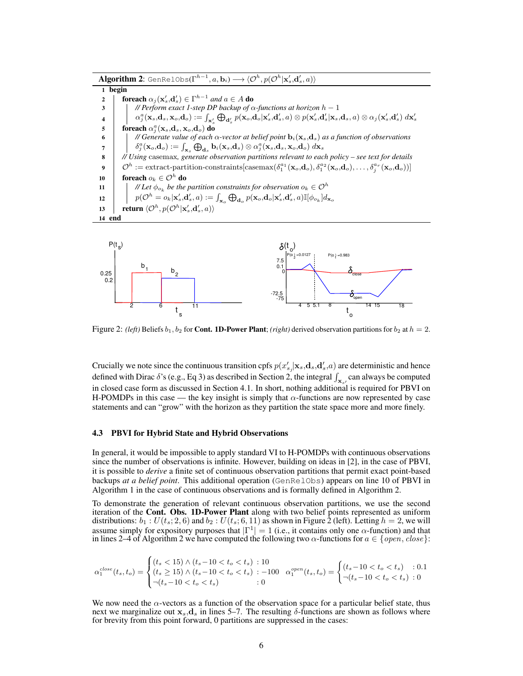$\mathbf{Algorithm \ 2:}$  GenRelObs( $\Gamma^{h-1},a,\mathbf{b}_i) \longrightarrow \langle \mathcal{O}^h,p(\mathcal{O}^h|\mathbf{x}'_s,\mathbf{d}'_s,a) \rangle$ 1 begin **2**  $\int$  foreach  $\alpha_j(\mathbf{x}'_s, \mathbf{d}'_s) \in \Gamma^{h-1}$  and  $a \in A$  do 3 *// Perform exact 1-step DP backup of* α*-functions at horizon* h − 1  $\mathbf{q} = \left[ \begin{array}{c} \mathbf{q}^a_j(\mathbf{x}_s,\mathbf{d}_s,\mathbf{x}_o,\mathbf{d}_o) := \int_{\mathbf{x}'_s} \bigoplus_{\mathbf{d}'_s} p(\mathbf{x}_o,\mathbf{d}_o|\mathbf{x}'_s,\mathbf{d}'_s, a) \otimes p(\mathbf{x}'_s,\mathbf{d}'_s|\mathbf{x}_s,\mathbf{d}_s, a) \otimes \alpha_j(\mathbf{x}'_s,\mathbf{d}'_s) \ d\mathbf{x}'_s \end{array} \right]$ 5 foreach  $\alpha_j^a(\mathbf{x}_s, \mathbf{d}_s, \mathbf{x}_o, \mathbf{d}_o)$  do 6 *// Generate value of each* α*-vector at belief point* bi(xs,ds) *as a function of observations*  $\begin{array}{c|c} \pi\, \quad & \delta^a_j(\mathbf{x}_o,\mathbf{d}_o) := \int_{\mathbf{x}_s} \bigoplus_{\mathbf{d}_s} \mathbf{b}_i(\mathbf{x}_s,\mathbf{d}_s) \otimes \alpha^a_j(\mathbf{x}_s,\mathbf{d}_s,\mathbf{x}_o,\mathbf{d}_o) \ d\mathbf{x}_s, \end{array}$ 8 *// Using* casemax*, generate observation partitions relevant to each policy – see text for details*  $\boldsymbol{\Theta} \quad \bigg| \quad \mathcal{O}^h := \text{extract-partition-constraints}[\text{casemax}(\delta_1^{a_1}(\mathbf{x}_o,\mathbf{d}_o),\delta_1^{a_2}(\mathbf{x}_o,\mathbf{d}_o),\dots,\delta_j^{a_r}(\mathbf{x}_o,\mathbf{d}_o))]$ 10  $\Big|$  foreach  $o_k \in \mathcal{O}^h$  do // Let  $\phi_{o_k}$  be the partition constraints for observation  $o_k \in \mathcal{O}^h$ 11  $p(\mathcal{O}^h = o_k | \mathbf{x}'_s, \mathbf{d}'_s, a) := \int_{\mathbf{x}_o} \bigoplus_{\mathbf{d}_o} p(\mathbf{x}_o, \mathbf{d}_o | \mathbf{x}'_s, \mathbf{d}'_s, a) \mathbb{I}[\phi_{o_k}] d_{\mathbf{x}_o}$ 13  $\left| \right. \quad \textbf{return } \langle \mathcal{O}^h, p(\mathcal{O}^h|\mathbf{x}'_s,\mathbf{d}'_s,a) \rangle$ 14 end



Figure 2: *(left)* Beliefs  $b_1, b_2$  for **Cont. 1D-Power Plant**; *(right)* derived observation partitions for  $b_2$  at  $h = 2$ .

Crucially we note since the continuous transition cpfs  $p(x'_{s_j}|\mathbf{x}_s, \mathbf{d}_s, \mathbf{d}'_s, a)$  are deterministic and hence defined with Dirac  $\delta$ 's (e.g., Eq 3) as described in Section 2, the integral  $\int_{\mathbf{x}_{s'}}$  can always be computed in closed case form as discussed in Section 4.1. In short, nothing additional is required for PBVI on H-POMDPs in this case — the key insight is simply that  $\alpha$ -functions are now represented by case statements and can "grow" with the horizon as they partition the state space more and more finely.

#### 4.3 PBVI for Hybrid State and Hybrid Observations

In general, it would be impossible to apply standard VI to H-POMDPs with continuous observations since the number of observations is infinite. However, building on ideas in [2], in the case of PBVI, it is possible to *derive* a finite set of continuous observation partitions that permit exact point-based backups *at a belief point*. This additional operation (GenRelObs) appears on line 10 of PBVI in Algorithm 1 in the case of continuous observations and is formally defined in Algorithm 2.

To demonstrate the generation of relevant continuous observation partitions, we use the second iteration of the Cont. Obs. 1D-Power Plant along with two belief points represented as uniform distributions:  $b_1 : U(t_s; 2, 6)$  and  $b_2 : U(t_s; 6, 11)$  as shown in Figure 2 (left). Letting  $h = 2$ , we will assume simply for expository purposes that  $|\Gamma^1| = 1$  (i.e., it contains only one  $\alpha$ -function) and that in lines 2–4 of Algorithm 2 we have computed the following two  $\alpha$ -functions for  $a \in \{open, close\}$ :

$$
\alpha_1^{close}(t_s, t_o) = \begin{cases} (t_s < 15) \land (t_s - 10 < t_o < t_s) : 10\\ (t_s > 15) \land (t_s - 10 < t_o < t_s) : -100 & \alpha_1^{open}(t_s, t_o) = \begin{cases} (t_s - 10 < t_o < t_s) & : 0.1\\ \neg (t_s - 10 < t_o < t_s) & : 0 \end{cases} \end{cases}
$$

We now need the  $\alpha$ -vectors as a function of the observation space for a particular belief state, thus next we marginalize out  $x_s$ , $d_s$  in lines 5–7. The resulting  $\delta$ -functions are shown as follows where for brevity from this point forward, 0 partitions are suppressed in the cases: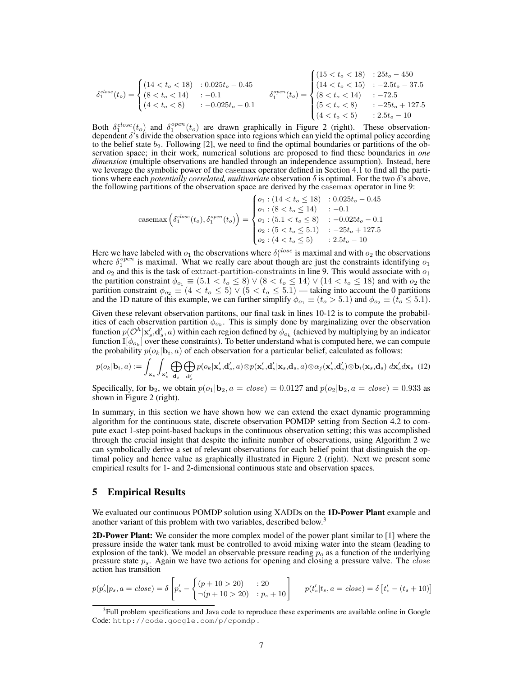$$
\delta_1^{close}(t_o) = \begin{cases}\n(14 < t_o < 18) & : 0.025t_o - 0.45 \\
(8 < t_o < 14) & : -0.1 \\
(4 < t_o < 8) & : -0.025t_o - 0.1\n\end{cases}\n\qquad\n\delta_1^{open}(t_o) = \begin{cases}\n(15 < t_o < 18) & : 25t_o - 450 \\
(14 < t_o < 15) & : -2.5t_o - 37.5 \\
(8 < t_o < 14) & : -72.5 \\
(5 < t_o < 8) & : -25t_o + 127.5 \\
(4 < t_o < 5) & : 2.5t_o - 10\n\end{cases}
$$

Both  $\delta_1^{close}(t_o)$  and  $\delta_1^{open}(t_o)$  are drawn graphically in Figure 2 (right). These observationdependent  $\delta$ 's divide the observation space into regions which can yield the optimal policy according to the belief state  $b_2$ . Following [2], we need to find the optimal boundaries or partitions of the observation space; in their work, numerical solutions are proposed to find these boundaries in *one dimension* (multiple observations are handled through an independence assumption). Instead, here we leverage the symbolic power of the casemax operator defined in Section 4.1 to find all the partitions where each *potentially correlated, multivariate* observation δ is optimal. For the two δ's above, the following partitions of the observation space are derived by the casemax operator in line 9:

$$
\text{casemax}\left(\delta_1^{close}(t_o), \delta_1^{open}(t_o)\right) = \begin{cases} o_1: (14 < t_o \le 18) & : 0.025t_o - 0.45 \\ o_1: (8 < t_o \le 14) & : -0.1 \\ o_1: (5.1 < t_o \le 8) & : -0.025t_o - 0.1 \\ o_2: (5 < t_o \le 5.1) & : -25t_o + 127.5 \\ o_2: (4 < t_o \le 5) & : 2.5t_o - 10 \end{cases}
$$

Here we have labeled with  $o_1$  the observations where  $\delta_1^{close}$  is maximal and with  $o_2$  the observations where  $\delta_1^{open}$  is maximal. What we really care about though are just the constraints identifying  $o_1$ and  $o_2$  and this is the task of extract-partition-constraints in line 9. This would associate with  $o_1$ the partition constraint  $\phi_{o_1} \equiv (5.1 < t_o \le 8) \vee (8 < t_o \le 14) \vee (14 < t_o \le 18)$  and with  $o_2$  the partition constraint  $\phi_{o_2} \equiv (4 < t_o \leq 5) \vee (5 < t_o \leq 5.1)$  — taking into account the 0 partitions and the 1D nature of this example, we can further simplify  $\phi_{o_1} \equiv (t_o > 5.1)$  and  $\phi_{o_2} \equiv (t_o \leq 5.1)$ .

Given these relevant observation partitons, our final task in lines 10-12 is to compute the probabilities of each observation partition  $\phi_{o_k}$ . This is simply done by marginalizing over the observation function  $p(\mathcal{O}^h|\mathbf{x}'_s,\mathbf{d}'_s,a)$  within each region defined by  $\phi_{o_k}$  (achieved by multiplying by an indicator function  $\mathbb{I}[\phi_{o_k}]$  over these constraints). To better understand what is computed here, we can compute the probability  $p(o_k | \mathbf{b}_i, a)$  of each observation for a particular belief, calculated as follows:

$$
p(o_k|\mathbf{b}_i,a) := \int_{\mathbf{x}_s} \int_{\mathbf{x}'_s} \bigoplus_{\mathbf{d}_s} \bigoplus_{\mathbf{d}'_s} p(o_k|\mathbf{x}'_s,\mathbf{d}'_s,a) \otimes p(\mathbf{x}'_s,\mathbf{d}'_s|\mathbf{x}_s,\mathbf{d}_s,a) \otimes \alpha_j(\mathbf{x}'_s,\mathbf{d}'_s) \otimes \mathbf{b}_i(\mathbf{x}_s,\mathbf{d}_s) d\mathbf{x}'_s d\mathbf{x}_s
$$
(12)

Specifically, for  $b_2$ , we obtain  $p(o_1|b_2, a = close) = 0.0127$  and  $p(o_2|b_2, a = close) = 0.933$  as shown in Figure 2 (right).

In summary, in this section we have shown how we can extend the exact dynamic programming algorithm for the continuous state, discrete observation POMDP setting from Section 4.2 to compute exact 1-step point-based backups in the continuous observation setting; this was accomplished through the crucial insight that despite the infinite number of observations, using Algorithm 2 we can symbolically derive a set of relevant observations for each belief point that distinguish the optimal policy and hence value as graphically illustrated in Figure 2 (right). Next we present some empirical results for 1- and 2-dimensional continuous state and observation spaces.

## 5 Empirical Results

We evaluated our continuous POMDP solution using XADDs on the 1D-Power Plant example and another variant of this problem with two variables, described below.<sup>3</sup>

2D-Power Plant: We consider the more complex model of the power plant similar to [1] where the pressure inside the water tank must be controlled to avoid mixing water into the steam (leading to explosion of the tank). We model an observable pressure reading  $p<sub>o</sub>$  as a function of the underlying pressure state  $p_s$ . Again we have two actions for opening and closing a pressure valve. The close action has transition

$$
p(p'_s|p_s, a = close) = \delta \left[ p'_s - \begin{cases} (p+10 > 20) & : 20 \\ \neg(p+10 > 20) & : p_s + 10 \end{cases} \right] \quad p(t'_s|t_s, a = close) = \delta \left[ t'_s - (t_s + 10) \right]
$$

<sup>&</sup>lt;sup>3</sup>Full problem specifications and Java code to reproduce these experiments are available online in Google Code: http://code.google.com/p/cpomdp .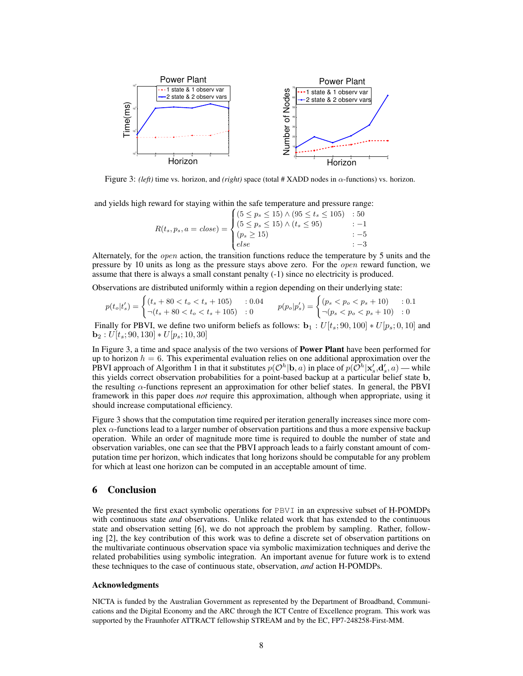

Figure 3: *(left)* time vs. horizon, and *(right)* space (total # XADD nodes in  $\alpha$ -functions) vs. horizon.

and yields high reward for staying within the safe temperature and pressure range:

$$
R(t_s, p_s, a = close) = \begin{cases} (5 \le p_s \le 15) \land (95 \le t_s \le 105) & : 50 \\ (5 \le p_s \le 15) \land (t_s \le 95) & : -1 \\ (p_s \ge 15) & : -5 \\ else & : -3 \end{cases}
$$

Alternately, for the open action, the transition functions reduce the temperature by 5 units and the pressure by 10 units as long as the pressure stays above zero. For the open reward function, we assume that there is always a small constant penalty (-1) since no electricity is produced.

Observations are distributed uniformly within a region depending on their underlying state:

$$
p(t_o|t'_s) = \begin{cases} (t_s + 80 < t_o < t_s + 105) & : 0.04\\ \neg(t_s + 80 < t_o < t_s + 105) & : 0 \end{cases} \qquad p(p_o|p'_s) = \begin{cases} (p_s < p_o < p_s + 10) & : 0.1\\ \neg(p_s < p_o < p_s + 10) & : 0 \end{cases}
$$

Finally for PBVI, we define two uniform beliefs as follows:  $\mathbf{b}_1 : U[t_s; 90, 100] * U[p_s; 0, 10]$  and  $$ 

In Figure 3, a time and space analysis of the two versions of **Power Plant** have been performed for up to horizon  $h = 6$ . This experimental evaluation relies on one additional approximation over the PBVI approach of Algorithm 1 in that it substitutes  $p(\mathcal{O}^h|\mathbf{b},a)$  in place of  $p(\tilde{\mathcal{O}}^h|\mathbf{x}'_s,\mathbf{d}'_s,a)$  — while this yields correct observation probabilities for a point-based backup at a particular belief state b, the resulting  $\alpha$ -functions represent an approximation for other belief states. In general, the PBVI framework in this paper does *not* require this approximation, although when appropriate, using it should increase computational efficiency.

Figure 3 shows that the computation time required per iteration generally increases since more complex  $\alpha$ -functions lead to a larger number of observation partitions and thus a more expensive backup operation. While an order of magnitude more time is required to double the number of state and observation variables, one can see that the PBVI approach leads to a fairly constant amount of computation time per horizon, which indicates that long horizons should be computable for any problem for which at least one horizon can be computed in an acceptable amount of time.

# 6 Conclusion

We presented the first exact symbolic operations for PBVI in an expressive subset of H-POMDPs with continuous state *and* observations. Unlike related work that has extended to the continuous state and observation setting [6], we do not approach the problem by sampling. Rather, following [2], the key contribution of this work was to define a discrete set of observation partitions on the multivariate continuous observation space via symbolic maximization techniques and derive the related probabilities using symbolic integration. An important avenue for future work is to extend these techniques to the case of continuous state, observation, *and* action H-POMDPs.

#### Acknowledgments

NICTA is funded by the Australian Government as represented by the Department of Broadband, Communications and the Digital Economy and the ARC through the ICT Centre of Excellence program. This work was supported by the Fraunhofer ATTRACT fellowship STREAM and by the EC, FP7-248258-First-MM.